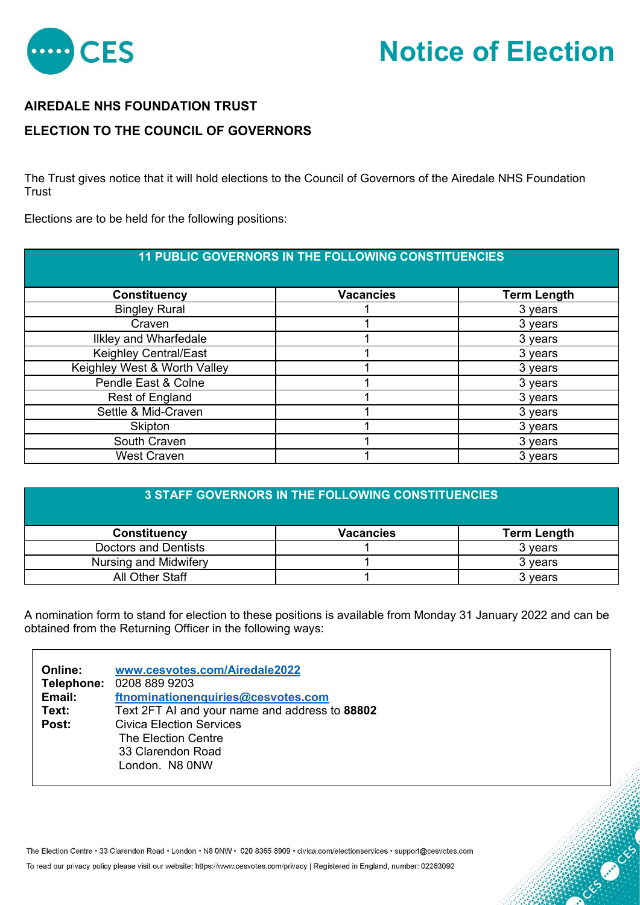

## **Notice of Election**

OS CONSTRUCTION

## **AIREDALE NHS FOUNDATION TRUST**

## **ELECTION TO THE COUNCIL OF GOVERNORS**

The Trust gives notice that it will hold elections to the Council of Governors of the Airedale NHS Foundation **Trust** 

Elections are to be held for the following positions:

| <b>11 PUBLIC GOVERNORS IN THE FOLLOWING CONSTITUENCIES</b> |                  |                    |
|------------------------------------------------------------|------------------|--------------------|
| <b>Constituency</b>                                        | <b>Vacancies</b> | <b>Term Length</b> |
| <b>Bingley Rural</b>                                       |                  | 3 years            |
| Craven                                                     |                  | 3 years            |
| <b>Ilkley and Wharfedale</b>                               |                  | 3 years            |
| Keighley Central/East                                      |                  | 3 years            |
| Keighley West & Worth Valley                               |                  | 3 years            |
| Pendle East & Colne                                        |                  | 3 years            |
| Rest of England                                            |                  | 3 years            |
| Settle & Mid-Craven                                        |                  | 3 years            |
| Skipton                                                    |                  | 3 years            |
| South Craven                                               |                  | 3 years            |
| <b>West Craven</b>                                         |                  | 3 years            |

| <b>3 STAFF GOVERNORS IN THE FOLLOWING CONSTITUENCIES</b> |                  |                    |
|----------------------------------------------------------|------------------|--------------------|
| <b>Constituency</b>                                      | <b>Vacancies</b> | <b>Term Length</b> |
| Doctors and Dentists                                     |                  | 3 years            |
| Nursing and Midwifery                                    |                  | 3 years            |
| All Other Staff                                          |                  | 3 years            |

A nomination form to stand for election to these positions is available from Monday 31 January 2022 and can be obtained from the Returning Officer in the following ways:

| www.cesvotes.com/Airedale2022<br>Telephone: 0208 889 9203 |
|-----------------------------------------------------------|
| ftnominationenquiries@cesvotes.com                        |
| Text 2FT AI and your name and address to 88802            |
| <b>Civica Election Services</b>                           |
| The Election Centre                                       |
| 33 Clarendon Road                                         |
| London. N8 0NW                                            |
|                                                           |

The Election Centre · 33 Clarendon Road · London · N8 0NW · 020 8365 8909 · civica.com/electionservices · support@cesvotes.com

To read our privacy policy please visit our website: https://www.cesvotes.com/privacy | Registered in England, number: 02263092